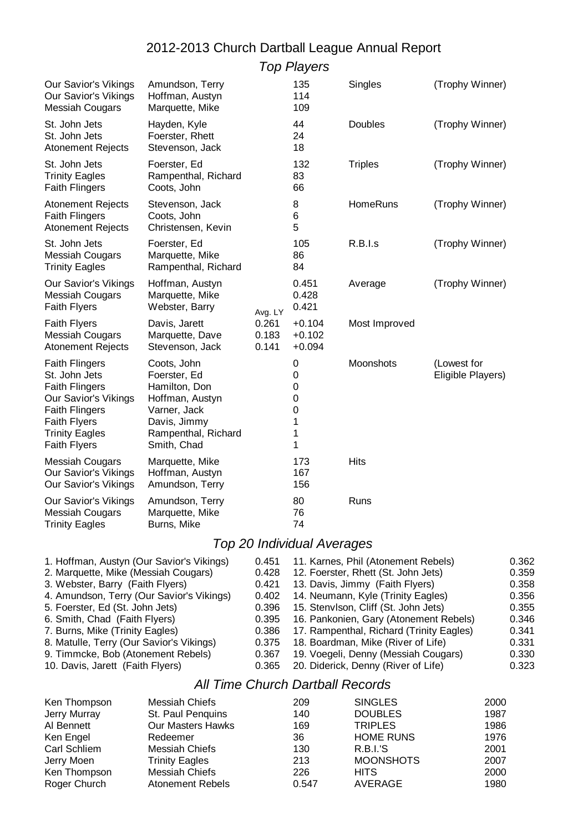# 2012-2013 Church Dartball League Annual Report

Top Players

| Our Savior's Vikings<br>Our Savior's Vikings<br><b>Messiah Cougars</b>                                                                                                                  | Amundson, Terry<br>Hoffman, Austyn<br>Marquette, Mike                                                                                 |                         | 135<br>114<br>109                              | Singles         | (Trophy Winner)                  |
|-----------------------------------------------------------------------------------------------------------------------------------------------------------------------------------------|---------------------------------------------------------------------------------------------------------------------------------------|-------------------------|------------------------------------------------|-----------------|----------------------------------|
| St. John Jets<br>St. John Jets<br><b>Atonement Rejects</b>                                                                                                                              | Hayden, Kyle<br>Foerster, Rhett<br>Stevenson, Jack                                                                                    |                         | 44<br>24<br>18                                 | Doubles         | (Trophy Winner)                  |
| St. John Jets<br><b>Trinity Eagles</b><br><b>Faith Flingers</b>                                                                                                                         | Foerster, Ed<br>Rampenthal, Richard<br>Coots, John                                                                                    |                         | 132<br>83<br>66                                | <b>Triples</b>  | (Trophy Winner)                  |
| <b>Atonement Rejects</b><br><b>Faith Flingers</b><br><b>Atonement Rejects</b>                                                                                                           | Stevenson, Jack<br>Coots, John<br>Christensen, Kevin                                                                                  |                         | 8<br>6<br>5                                    | <b>HomeRuns</b> | (Trophy Winner)                  |
| St. John Jets<br><b>Messiah Cougars</b><br><b>Trinity Eagles</b>                                                                                                                        | Foerster, Ed<br>Marquette, Mike<br>Rampenthal, Richard                                                                                |                         | 105<br>86<br>84                                | R.B.I.s         | (Trophy Winner)                  |
| Our Savior's Vikings<br><b>Messiah Cougars</b><br><b>Faith Flyers</b>                                                                                                                   | Hoffman, Austyn<br>Marquette, Mike<br>Webster, Barry                                                                                  | Avg. LY                 | 0.451<br>0.428<br>0.421                        | Average         | (Trophy Winner)                  |
| Faith Flyers<br><b>Messiah Cougars</b><br><b>Atonement Rejects</b>                                                                                                                      | Davis, Jarett<br>Marquette, Dave<br>Stevenson, Jack                                                                                   | 0.261<br>0.183<br>0.141 | $+0.104$<br>$+0.102$<br>$+0.094$               | Most Improved   |                                  |
| <b>Faith Flingers</b><br>St. John Jets<br><b>Faith Flingers</b><br>Our Savior's Vikings<br><b>Faith Flingers</b><br><b>Faith Flyers</b><br><b>Trinity Eagles</b><br><b>Faith Flyers</b> | Coots, John<br>Foerster, Ed<br>Hamilton, Don<br>Hoffman, Austyn<br>Varner, Jack<br>Davis, Jimmy<br>Rampenthal, Richard<br>Smith, Chad |                         | 0<br>0<br>0<br>$\mathbf 0$<br>0<br>1<br>1<br>1 | Moonshots       | (Lowest for<br>Eligible Players) |
| <b>Messiah Cougars</b><br>Our Savior's Vikings<br>Our Savior's Vikings                                                                                                                  | Marquette, Mike<br>Hoffman, Austyn<br>Amundson, Terry                                                                                 |                         | 173<br>167<br>156                              | <b>Hits</b>     |                                  |
| Our Savior's Vikings<br><b>Messiah Cougars</b><br><b>Trinity Eagles</b>                                                                                                                 | Amundson, Terry<br>Marquette, Mike<br>Burns, Mike                                                                                     |                         | 80<br>76<br>74                                 | Runs            |                                  |
|                                                                                                                                                                                         |                                                                                                                                       |                         |                                                |                 |                                  |

## Top 20 Individual Averages

| 1. Hoffman, Austyn (Our Savior's Vikings) | 0.451 | 11. Karnes, Phil (Atonement Rebels)          | 0.362 |
|-------------------------------------------|-------|----------------------------------------------|-------|
| 2. Marquette, Mike (Messiah Cougars)      | 0.428 | 12. Foerster, Rhett (St. John Jets)          | 0.359 |
| 3. Webster, Barry (Faith Flyers)          | 0.421 | 13. Davis, Jimmy (Faith Flyers)              | 0.358 |
| 4. Amundson, Terry (Our Savior's Vikings) | 0.402 | 14. Neumann, Kyle (Trinity Eagles)           | 0.356 |
| 5. Foerster, Ed (St. John Jets)           | 0.396 | 15. Stenvison, Cliff (St. John Jets)         | 0.355 |
| 6. Smith, Chad (Faith Flyers)             |       | 0.395 16. Pankonien, Gary (Atonement Rebels) | 0.346 |
| 7. Burns, Mike (Trinity Eagles)           | 0.386 | 17. Rampenthal, Richard (Trinity Eagles)     | 0.341 |
| 8. Matulle, Terry (Our Savior's Vikings)  | 0.375 | 18. Boardman, Mike (River of Life)           | 0.331 |
| 9. Timmcke, Bob (Atonement Rebels)        | 0.367 | 19. Voegeli, Denny (Messiah Cougars)         | 0.330 |
| 10. Davis, Jarett (Faith Flyers)          | 0.365 | 20. Diderick, Denny (River of Life)          | 0.323 |

### All Time Church Dartball Records

| Ken Thompson | Messiah Chiefs           | 209   | <b>SINGLES</b>   | 2000 |
|--------------|--------------------------|-------|------------------|------|
| Jerry Murray | St. Paul Penquins        | 140   | <b>DOUBLES</b>   | 1987 |
| Al Bennett   | <b>Our Masters Hawks</b> | 169   | <b>TRIPLES</b>   | 1986 |
| Ken Engel    | Redeemer                 | 36    | <b>HOME RUNS</b> | 1976 |
| Carl Schliem | Messiah Chiefs           | 130   | R.B.I.'S         | 2001 |
| Jerry Moen   | <b>Trinity Eagles</b>    | 213   | <b>MOONSHOTS</b> | 2007 |
| Ken Thompson | Messiah Chiefs           | 226   | <b>HITS</b>      | 2000 |
| Roger Church | <b>Atonement Rebels</b>  | 0.547 | AVERAGE          | 1980 |